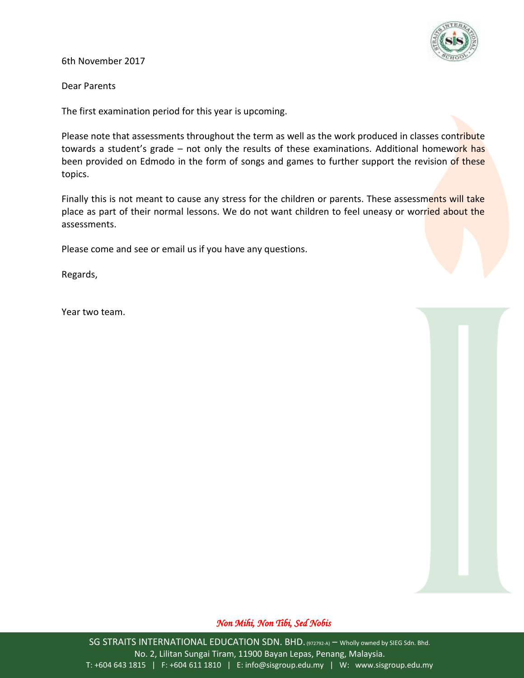

6th November 2017

Dear Parents

The first examination period for this year is upcoming.

Please note that assessments throughout the term as well as the work produced in classes contribute towards a student's grade – not only the results of these examinations. Additional homework has been provided on Edmodo in the form of songs and games to further support the revision of these topics.

Finally this is not meant to cause any stress for the children or parents. These assessments will take place as part of their normal lessons. We do not want children to feel uneasy or worried about the assessments.

Please come and see or email us if you have any questions.

Regards,

Year two team.

## *Non Mihi, Non Tibi, Sed Nobis*

SG STRAITS INTERNATIONAL EDUCATION SDN. BHD. (972792-A) – Wholly owned by SIEG Sdn. Bhd. No. 2, Lilitan Sungai Tiram, 11900 Bayan Lepas, Penang, Malaysia. T: +604 643 1815 | F: +604 611 1810 | E: info@sisgroup.edu.my | W: www.sisgroup.edu.my